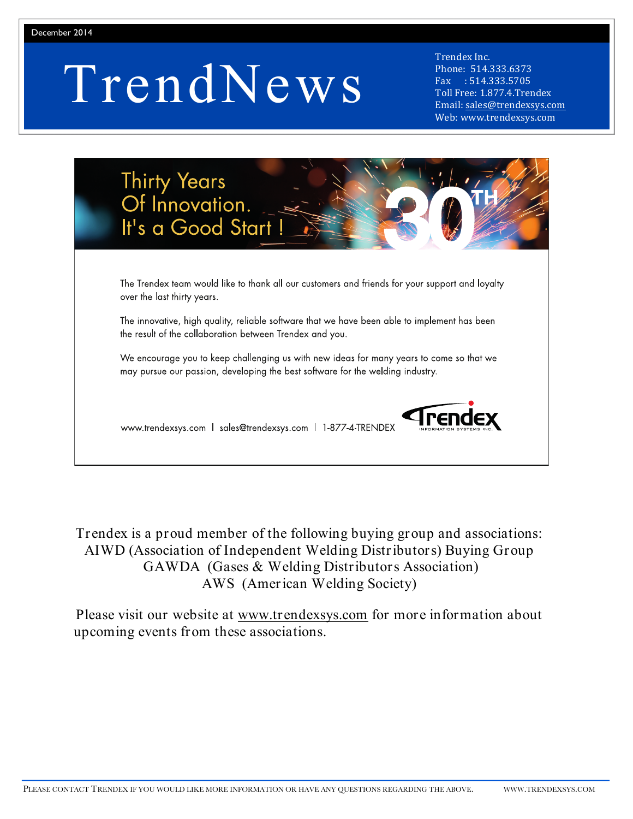# TrendNews

Trendex Inc. Phone: 514.333.6373 Fax : 514.333.5705 Toll Free: 1.877.4.Trendex Email: sales@trendexsys.com Web: www.trendexsys.com

| Thirty Years<br>Of Innovation.<br>It's a Good Start!                                                                                                                       |
|----------------------------------------------------------------------------------------------------------------------------------------------------------------------------|
| The Trendex team would like to thank all our customers and friends for your support and loyalty<br>over the last thirty years.                                             |
| The innovative, high quality, reliable software that we have been able to implement has been<br>the result of the collaboration between Trendex and you.                   |
| We encourage you to keep challenging us with new ideas for many years to come so that we<br>may pursue our passion, developing the best software for the welding industry. |
| www.trendexsys.com   sales@trendexsys.com   1-877-4-TRENDEX                                                                                                                |

Trendex is a proud member of the following buying group and associations: AIWD (Association of Independent Welding Distributors) Buying Group GAWDA (Gases & Welding Distributors Association) AWS (American Welding Society)

Please visit our website at www.trendexsys.com for more information about upcoming events from these associations.